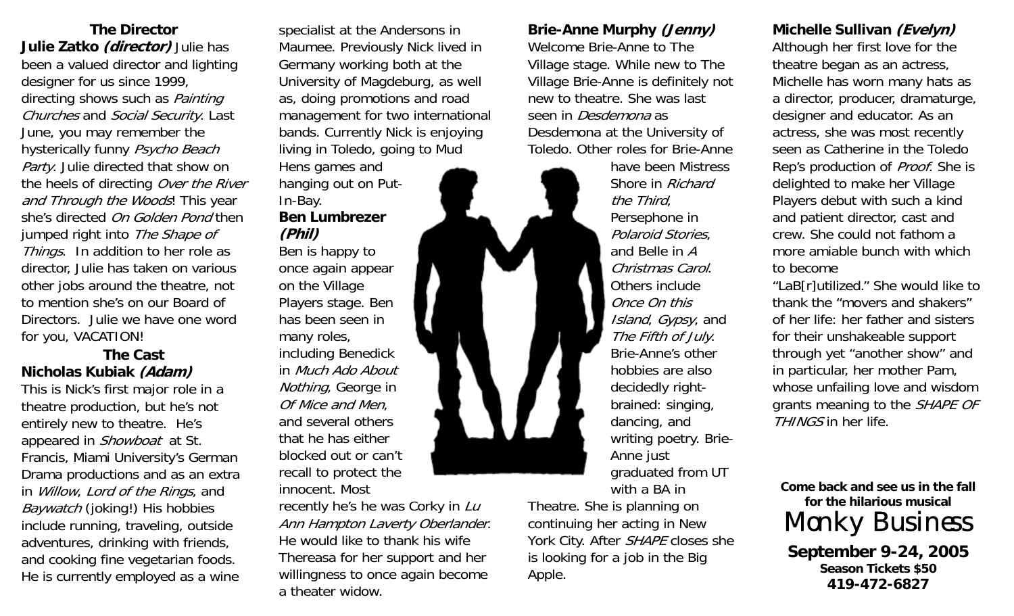**The Director Julie Zatko (director)** Julie has been a valued director and lighting designer for us since 1999, directing shows such as *Painting* Churches and Social Security. Last June, you may remember the hysterically funny Psycho Beach Party. Julie directed that show on the heels of directing Over the River and Through the Woods! This year she's directed On Golden Pond then jumped right into The Shape of Things. In addition to her role as director, Julie has taken on various other jobs around the theatre, not to mention she's on our Board of Directors. Julie we have one word for you, VACATION!

### **The Cast Nicholas Kubiak (Adam)**

This is Nick's first major role in a theatre production, but he's not entirely new to theatre. He's appeared in Showboat at St. Francis, Miami University's German Drama productions and as an extra in Willow, Lord of the Rings, and Baywatch (joking!) His hobbies include running, traveling, outside adventures, drinking with friends, and cooking fine vegetarian foods. He is currently employed as a wine specialist at the Andersons in Maumee. Previously Nick lived in Germany working both at the University of Magdeburg, as well as, doing promotions and road management for two international bands. Currently Nick is enjoying living in Toledo, going to Mud Hens games and

## In-Bay. **Ben Lumbrezer(Phil)**

hanging out on Put-

Ben is happy to once again appear on the Village Players stage. Ben has been seen in many roles, including Benedick in Much Ado About Nothing, George in Of Mice and Men, and several others that he has either blocked out or can't recall to protect the innocent. Most

recently he's he was Corky in Lu Ann Hampton Laverty Oberlander. He would like to thank his wife Thereasa for her support and her willingness to once again become a theater widow.

## **Brie-Anne Murphy (Jenny)**  Welcome Brie-Anne to The Village stage. While new to The Village Brie-Anne is definitely not new to theatre. She was last seen in Desdemona as Desdemona at the University of Toledo. Other roles for Brie-Anne

have been Mistress Shore in Richard the Third, Persephone in Polaroid Stories, and Belle in A Christmas Carol. Others include Once On this Island, Gypsy, and The Fifth of July. Brie-Anne's other hobbies are also decidedly rightbrained: singing, dancing, and writing poetry. Brie-Anne just graduated from UT with a BA in

Theatre. She is planning on continuing her acting in New York City. After SHAPE closes she is looking for a job in the Big Apple.

## **Michelle Sullivan (Evelyn)**

Although her first love for the theatre began as an actress, Michelle has worn many hats as a director, producer, dramaturge, designer and educator. As an actress, she was most recently seen as Catherine in the Toledo Rep's production of *Proof*. She is delighted to make her Village Players debut with such a kind and patient director, cast and crew. She could not fathom a more amiable bunch with which to become

"LaB[r]utilized." She would like to thank the "movers and shakers" of her life: her father and sisters for their unshakeable support through yet "another show" and in particular, her mother Pam, whose unfailing love and wisdom grants meaning to the *SHAPE OF* THINGS in her life.

**Come back and see us in the fall for the hilarious musical** Monky Business

**September 9-24, 2005 Season Tickets \$50 419-472-6827**